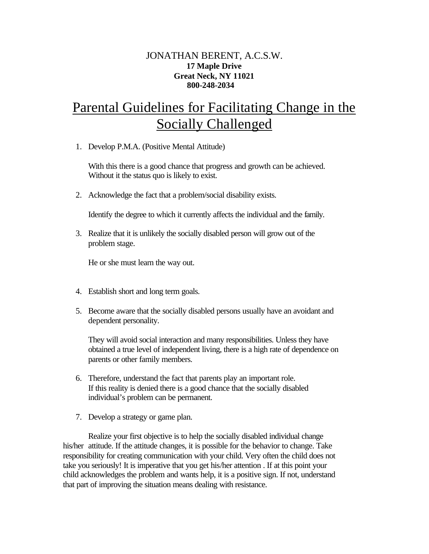## JONATHAN BERENT, A.C.S.W. **17 Maple Drive Great Neck, NY 11021 800-248-2034**

## Parental Guidelines for Facilitating Change in the Socially Challenged

1. Develop P.M.A. (Positive Mental Attitude)

With this there is a good chance that progress and growth can be achieved. Without it the status quo is likely to exist.

2. Acknowledge the fact that a problem/social disability exists.

Identify the degree to which it currently affects the individual and the family.

3. Realize that it is unlikely the socially disabled person will grow out of the problem stage.

He or she must learn the way out.

- 4. Establish short and long term goals.
- 5. Become aware that the socially disabled persons usually have an avoidant and dependent personality.

They will avoid social interaction and many responsibilities. Unless they have obtained a true level of independent living, there is a high rate of dependence on parents or other family members.

- 6. Therefore, understand the fact that parents play an important role. If this reality is denied there is a good chance that the socially disabled individual's problem can be permanent.
- 7. Develop a strategy or game plan.

Realize your first objective is to help the socially disabled individual change his/her attitude. If the attitude changes, it is possible for the behavior to change. Take responsibility for creating communication with your child. Very often the child does not take you seriously! It is imperative that you get his/her attention . If at this point your child acknowledges the problem and wants help, it is a positive sign. If not, understand that part of improving the situation means dealing with resistance.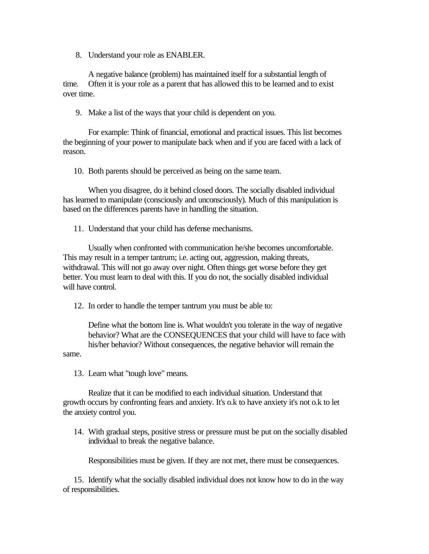8. Understand your role as ENABLER.

A negative balance (problem) has maintained itself for a substantial length of time. Often it is your role as a parent that has allowed this to be learned and to exist over time.

9. Make a list of the ways that your child is dependent on you.

For example: Think of financial, emotional and practical issues. This list becomes the beginning of your power to manipulate back when and if you are faced with a lack of reason.

10. Both parents should be perceived as being on the same team.

When you disagree, do it behind closed doors. The socially disabled individual has learned to manipulate (consciously and unconsciously). Much of this manipulation is based on the differences parents have in handling the situation.

11. Understand that your child has defense mechanisms.

Usually when confronted with communication he/she becomes uncomfortable. This may result in a temper tantrum; i.e. acting out, aggression, making threats, withdrawal. This will not go away over night. Often things get worse before they get better. You must learn to deal with this. If you do not, the socially disabled individual will have control.

12. In order to handle the temper tantrum you must be able to:

Define what the bottom line is. What wouldn't you tolerate in the way of negative behavior? What are the CONSEQUENCES that your child will have to face with his/her behavior? Without consequences, the negative behavior will remain the

same.

13. Learn what "tough love" means.

Realize that it can be modified to each individual situation. Understand that growth occurs by confronting fears and anxiety. It's o.k to have anxiety it's not o.k to let the anxiety control you.

 14. With gradual steps, positive stress or pressure must be put on the socially disabled individual to break the negative balance.

Responsibilities must be given. If they are not met, there must be consequences.

 15. Identify what the socially disabled individual does not know how to do in the way of responsibilities.